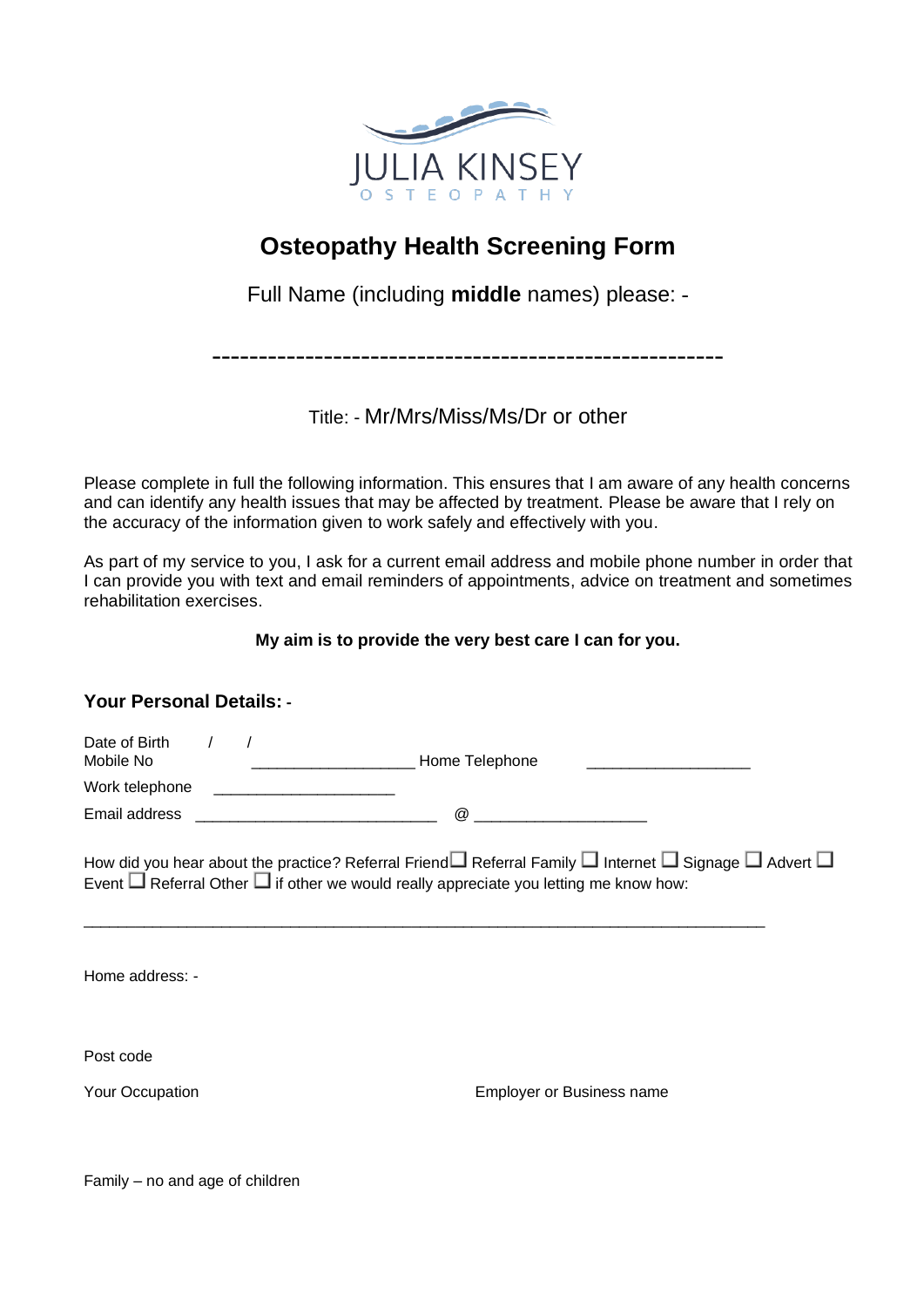

# **Osteopathy Health Screening Form**

Full Name (including **middle** names) please: -

-------------------------------------------------------

Title: - Mr/Mrs/Miss/Ms/Dr or other

Please complete in full the following information. This ensures that I am aware of any health concerns and can identify any health issues that may be affected by treatment. Please be aware that I rely on the accuracy of the information given to work safely and effectively with you.

As part of my service to you, I ask for a current email address and mobile phone number in order that I can provide you with text and email reminders of appointments, advice on treatment and sometimes rehabilitation exercises.

#### **My aim is to provide the very best care I can for you.**

### **Your Personal Details: -**

| Date of Birth<br>Mobile No |  | Home Telephone |  |
|----------------------------|--|----------------|--|
| Work telephone             |  |                |  |
| Email address              |  | $\omega$       |  |

 $\_$  ,  $\_$  ,  $\_$  ,  $\_$  ,  $\_$  ,  $\_$  ,  $\_$  ,  $\_$  ,  $\_$  ,  $\_$  ,  $\_$  ,  $\_$  ,  $\_$  ,  $\_$  ,  $\_$  ,  $\_$  ,  $\_$  ,  $\_$  ,  $\_$  ,  $\_$  ,  $\_$  ,  $\_$  ,  $\_$  ,  $\_$  ,  $\_$  ,  $\_$  ,  $\_$  ,  $\_$  ,  $\_$  ,  $\_$  ,  $\_$  ,  $\_$  ,  $\_$  ,  $\_$  ,  $\_$  ,  $\_$  ,  $\_$  ,

How did you hear about the practice? Referral Friend  $\Box$  Referral Family  $\Box$  Internet  $\Box$  Signage  $\Box$  Advert  $\Box$ Event  $\Box$  Referral Other  $\Box$  if other we would really appreciate you letting me know how:

Home address: -

Post code

Your Occupation Employer or Business name

Family – no and age of children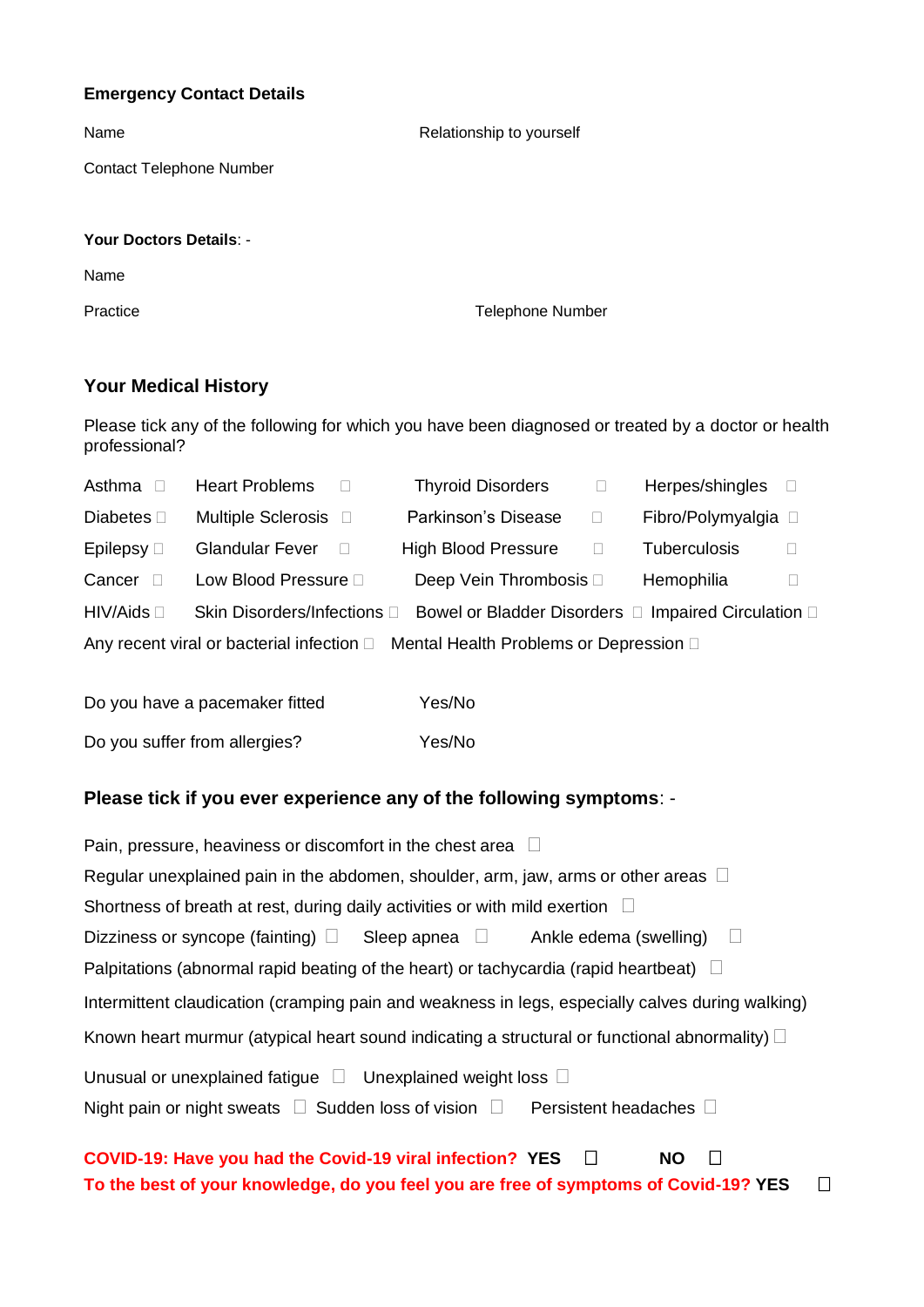#### **Emergency Contact Details**

| Name                            | Relationship to yourself |
|---------------------------------|--------------------------|
| <b>Contact Telephone Number</b> |                          |
| Your Doctors Details: -         |                          |
| Name                            |                          |
| Practice                        | <b>Telephone Number</b>  |

### **Your Medical History**

Please tick any of the following for which you have been diagnosed or treated by a doctor or health professional?

| Asthma $\square$   | <b>Heart Problems</b>       | <b>Thyroid Disorders</b>                                                         |        | Herpes/shingles     | $\Box$ |
|--------------------|-----------------------------|----------------------------------------------------------------------------------|--------|---------------------|--------|
| Diabetes $\square$ | Multiple Sclerosis D        | Parkinson's Disease                                                              | $\Box$ | Fibro/Polymyalgia □ |        |
| Epilepsy $\Box$    | <b>Glandular Fever</b>      | <b>High Blood Pressure</b>                                                       | $\Box$ | <b>Tuberculosis</b> | $\Box$ |
| Cancer             | Low Blood Pressure D        | Deep Vein Thrombosis $\Box$                                                      |        | Hemophilia          |        |
| HIV/Aids           | Skin Disorders/Infections D | Bowel or Bladder Disorders □ Impaired Circulation □                              |        |                     |        |
|                    |                             | Any recent viral or bacterial infection □ Mental Health Problems or Depression □ |        |                     |        |
|                    |                             |                                                                                  |        |                     |        |

| Do you have a pacemaker fitted | Yes/No |
|--------------------------------|--------|
| Do you suffer from allergies?  | Yes/No |

#### **Please tick if you ever experience any of the following symptoms**: -

| Pain, pressure, heaviness or discomfort in the chest area $\Box$                                      |  |  |  |  |
|-------------------------------------------------------------------------------------------------------|--|--|--|--|
| Regular unexplained pain in the abdomen, shoulder, arm, jaw, arms or other areas $\Box$               |  |  |  |  |
| Shortness of breath at rest, during daily activities or with mild exertion $\Box$                     |  |  |  |  |
| Dizziness or syncope (fainting) $\square$ Sleep apnea $\square$ Ankle edema (swelling) $\square$      |  |  |  |  |
| Palpitations (abnormal rapid beating of the heart) or tachycardia (rapid heartbeat) $\square$         |  |  |  |  |
| Intermittent claudication (cramping pain and weakness in legs, especially calves during walking)      |  |  |  |  |
| Known heart murmur (atypical heart sound indicating a structural or functional abnormality) $\square$ |  |  |  |  |
| Unusual or unexplained fatigue $\Box$ Unexplained weight loss $\Box$                                  |  |  |  |  |
| Night pain or night sweats $\Box$ Sudden loss of vision $\Box$ Persistent headaches $\Box$            |  |  |  |  |

# **COVID-19: Have you had the Covid-19 viral infection? YES □ NO □ To the best of your knowledge, do you feel you are free of symptoms of Covid-19? YES**